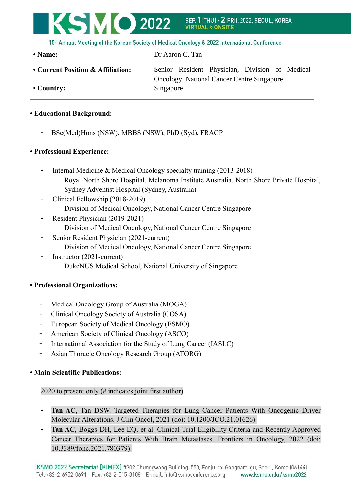# **KSMO 2022** SEP. 1[THU] - 2[FRI], 2022, SEOUL, KOREA<br>VIRTUAL & ONSITE

15th Annual Meeting of the Korean Society of Medical Oncology & 2022 International Conference

**• Name:** Dr Aaron C. Tan

- 
- **Current Position & Affiliation:** Senior Resident Physician, Division of Medical Oncology, National Cancer Centre Singapore • Country: Singapore
- **Educational Background:**
	- BSc(Med)Hons (NSW), MBBS (NSW), PhD (Syd), FRACP

### **• Professional Experience:**

- Internal Medicine & Medical Oncology specialty training (2013-2018) Royal North Shore Hospital, Melanoma Institute Australia, North Shore Private Hospital, Sydney Adventist Hospital (Sydney, Australia)
- Clinical Fellowship (2018-2019) Division of Medical Oncology, National Cancer Centre Singapore
- Resident Physician (2019-2021) Division of Medical Oncology, National Cancer Centre Singapore
- Senior Resident Physician (2021-current)
- Division of Medical Oncology, National Cancer Centre Singapore
- Instructor (2021-current) DukeNUS Medical School, National University of Singapore

## **• Professional Organizations:**

- Medical Oncology Group of Australia (MOGA)
- Clinical Oncology Society of Australia (COSA)
- European Society of Medical Oncology (ESMO)
- American Society of Clinical Oncology (ASCO)
- International Association for the Study of Lung Cancer (IASLC)
- Asian Thoracic Oncology Research Group (ATORG)

## **• Main Scientific Publications:**

## 2020 to present only (# indicates joint first author)

- Tan AC, Tan DSW. Targeted Therapies for Lung Cancer Patients With Oncogenic Driver Molecular Alterations. J Clin Oncol, 2021 (doi: 10.1200/JCO.21.01626).
- Tan AC, Boggs DH, Lee EO, et al. Clinical Trial Eligibility Criteria and Recently Approved Cancer Therapies for Patients With Brain Metastases. Frontiers in Oncology, 2022 (doi: 10.3389/fonc.2021.780379).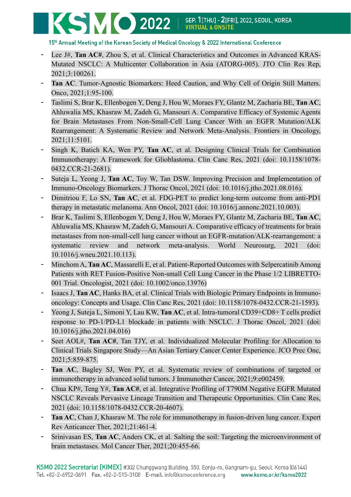15th Annual Meeting of the Korean Society of Medical Oncology & 2022 International Conference

- Lee J#, **Tan AC#**, Zhou S, et al. Clinical Characteristics and Outcomes in Advanced KRAS-Mutated NSCLC: A Multicenter Collaboration in Asia (ATORG-005). JTO Clin Res Rep, 2021;3:100261.
- **Tan AC**. Tumor-Agnostic Biomarkers: Heed Caution, and Why Cell of Origin Still Matters. Onco, 2021;1:95-100.
- Taslimi S, Brar K, Ellenbogen Y, Deng J, Hou W, Moraes FY, Glantz M, Zacharia BE, **Tan AC**, Ahluwalia MS, Khasraw M, Zadeh G, Mansouri A. Comparative Efficacy of Systemic Agents for Brain Metastases From Non-Small-Cell Lung Cancer With an EGFR Mutation/ALK Rearrangement: A Systematic Review and Network Meta-Analysis. Frontiers in Oncology, 2021;11:5101.
- Singh K, Batich KA, Wen PY, **Tan AC**, et al. Designing Clinical Trials for Combination Immunotherapy: A Framework for Glioblastoma. Clin Canc Res, 2021 (doi: 10.1158/1078- 0432.CCR-21-2681).
- Suteja L, Yeong J, **Tan AC**, Toy W, Tan DSW. Improving Precision and Implementation of Immuno-Oncology Biomarkers. J Thorac Oncol, 2021 (doi: 10.1016/j.jtho.2021.08.016).
- Dimitriou F, Lo SN, **Tan AC**, et al. FDG-PET to predict long-term outcome from anti-PD1 therapy in metastatic melanoma. Ann Oncol, 2021 (doi: 10.1016/j.annonc.2021.10.003).
- Brar K, Taslimi S, Ellenbogen Y, Deng J, Hou W, Moraes FY, Glantz M, Zacharia BE, **Tan AC**, Ahluwalia MS, Khasraw M, Zadeh G, Mansouri A. Comparative efficacy of treatments for brain metastases from non-small-cell lung cancer without an EGFR-mutation/ALK-rearrangement: a systematic review and network meta-analysis. World Neurosurg, 2021 (doi: 10.1016/j.wneu.2021.10.113).
- Minchom A, **Tan AC**, Massarelli E, et al. Patient-Reported Outcomes with Selpercatinib Among Patients with RET Fusion-Positive Non-small Cell Lung Cancer in the Phase 1/2 LIBRETTO-001 Trial. Oncologist, 2021 (doi: 10.1002/onco.13976)
- Isaacs J, **Tan AC**, Hanks BA, et al. Clinical Trials with Biologic Primary Endpoints in Immunooncology: Concepts and Usage. Clin Canc Res, 2021 (doi: 10.1158/1078-0432.CCR-21-1593).
- Yeong J, Suteja L, Simoni Y, Lau KW, **Tan AC**, et al. Intra-tumoral CD39+CD8+ T cells predict response to PD-1/PD-L1 blockade in patients with NSCLC. J Thorac Oncol, 2021 (doi: 10.1016/j.jtho.2021.04.016)
- Seet AOL#, **Tan AC#**, Tan TJY, et al. Individualized Molecular Profiling for Allocation to Clinical Trials Singapore Study—An Asian Tertiary Cancer Center Experience. JCO Prec Onc, 2021;5:859-875.
- Tan AC, Bagley SJ, Wen PY, et al. Systematic review of combinations of targeted or immunotherapy in advanced solid tumors. J Immunother Cancer, 2021;9:e002459.
- Chua KP#, Teng Y#, **Tan AC#**, et al. Integrative Profiling of T790M Negative EGFR Mutated NSCLC Reveals Pervasive Lineage Transition and Therapeutic Opportunities. Clin Canc Res, 2021 (doi: 10.1158/1078-0432.CCR-20-4607).
- Tan AC, Chan J, Khasraw M. The role for immunotherapy in fusion-driven lung cancer. Expert Rev Anticancer Ther, 2021;21:461-4.
- Srinivasan ES, **Tan AC**, Anders CK, et al. Salting the soil: Targeting the microenvironment of brain metastases. Mol Cancer Ther, 2021;20:455-66.